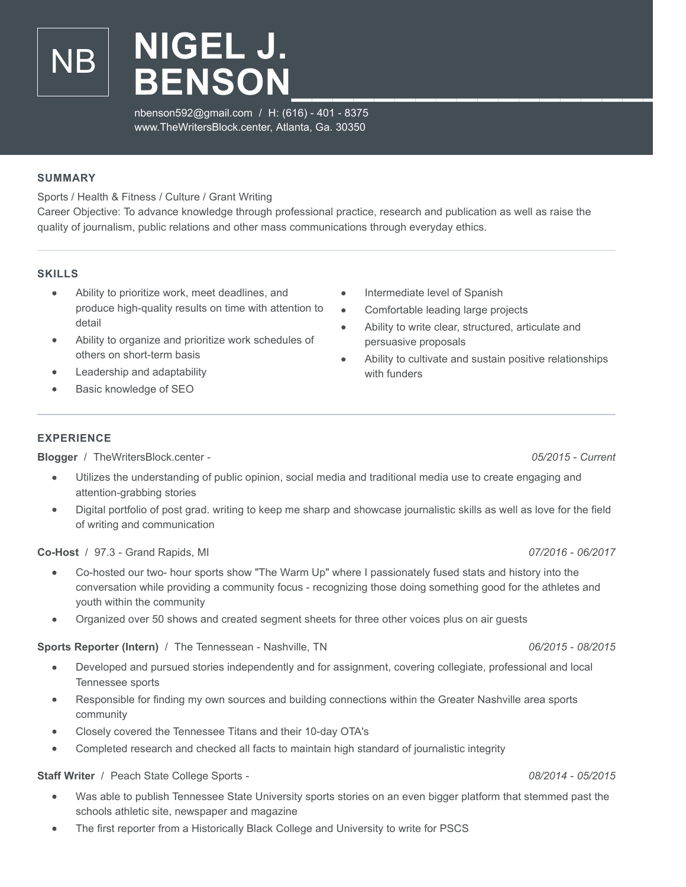nbenson592@gmail.com / H: (616) - 401 - 8375 www.TheWritersBlock.center, Atlanta, Ga. 30350

## **SUMMARY**

Sports / Health & Fitness / Culture / Grant Writing

NB **NIGEL J.**

Career Objective: To advance knowledge through professional practice, research and publication as well as raise the quality of journalism, public relations and other mass communications through everyday ethics.

## **SKILLS**

- Ability to prioritize work, meet deadlines, and produce high-quality results on time with attention to detail
- Ability to organize and prioritize work schedules of others on short-term basis
- Leadership and adaptability
- Basic knowledge of SEO
- **EXPERIENCE**

**Blogger** / TheWritersBlock.center - *05/2015 - Current*

- Utilizes the understanding of public opinion, social media and traditional media use to create engaging and attention-grabbing stories
- Digital portfolio of post grad. writing to keep me sharp and showcase journalistic skills as well as love for the field of writing and communication

**Co-Host** / 97.3 - Grand Rapids, MI *07/2016 - 06/2017*

- Co-hosted our two- hour sports show "The Warm Up" where I passionately fused stats and history into the  $\bullet$ conversation while providing a community focus - recognizing those doing something good for the athletes and youth within the community
- Organized over 50 shows and created segment sheets for three other voices plus on air guests

**Sports Reporter (Intern)** / The Tennessean - Nashville, TN *06/2015 - 08/2015*

- $\bullet$ Developed and pursued stories independently and for assignment, covering collegiate, professional and local Tennessee sports
- Responsible for finding my own sources and building connections within the Greater Nashville area sports community
- Closely covered the Tennessee Titans and their 10-day OTA's
- Completed research and checked all facts to maintain high standard of journalistic integrity

**Staff Writer** / Peach State College Sports - *08/2014 - 05/2015*

- Was able to publish Tennessee State University sports stories on an even bigger platform that stemmed past the schools athletic site, newspaper and magazine
- The first reporter from a Historically Black College and University to write for PSCS

Intermediate level of Spanish  $\bullet$ 

**BENSON\_\_\_\_\_\_\_\_\_\_\_\_\_\_\_\_\_\_\_**

- $\bullet$ Comfortable leading large projects
- Ability to write clear, structured, articulate and  $\bullet$ persuasive proposals
- Ability to cultivate and sustain positive relationships  $\bullet$ with funders